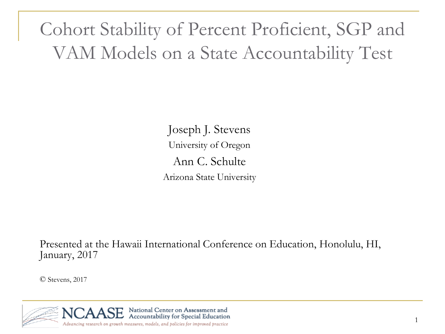Cohort Stability of Percent Proficient, SGP and VAM Models on a State Accountability Test

> Joseph J. Stevens University of Oregon Ann C. Schulte Arizona State University

Presented at the Hawaii International Conference on Education, Honolulu, HI, January, 2017

© Stevens, 2017

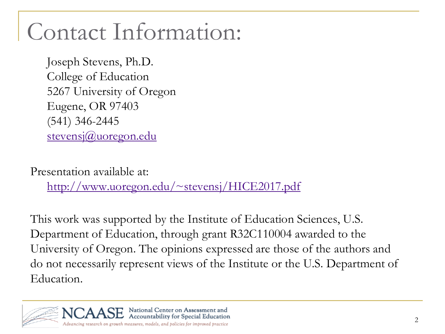# Contact Information:

Joseph Stevens, Ph.D. College of Education 5267 University of Oregon Eugene, OR 97403 (541) 346-2445 [stevensj@uoregon.edu](mailto:stevensj@uoregon.edu)

Presentation available at:

[http://www.uoregon.edu/~stevensj/HICE2017.pdf](http://www.uoregon.edu/~stevensj/HICE2015.pdf)

This work was supported by the Institute of Education Sciences, U.S. Department of Education, through grant R32C110004 awarded to the University of Oregon. The opinions expressed are those of the authors and do not necessarily represent views of the Institute or the U.S. Department of Education.

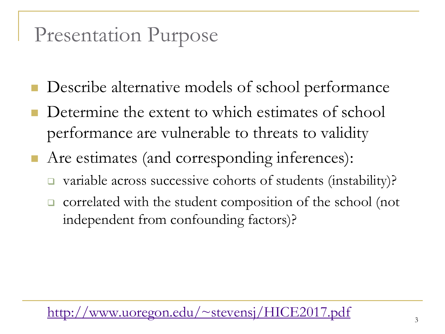### Presentation Purpose

- Describe alternative models of school performance
- Determine the extent to which estimates of school performance are vulnerable to threats to validity
- Are estimates (and corresponding inferences):
	- variable across successive cohorts of students (instability)?
	- $\Box$  correlated with the student composition of the school (not independent from confounding factors)?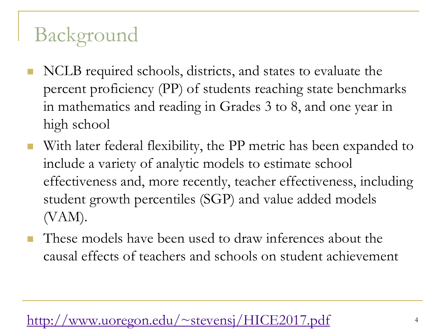## Background

- NCLB required schools, districts, and states to evaluate the percent proficiency (PP) of students reaching state benchmarks in mathematics and reading in Grades 3 to 8, and one year in high school
- With later federal flexibility, the PP metric has been expanded to include a variety of analytic models to estimate school effectiveness and, more recently, teacher effectiveness, including student growth percentiles (SGP) and value added models (VAM).
- **These models have been used to draw inferences about the** causal effects of teachers and schools on student achievement

#### $\frac{1}{2}$  www.uoregon.edu/~stevensj/HICE2017.pdf  $4$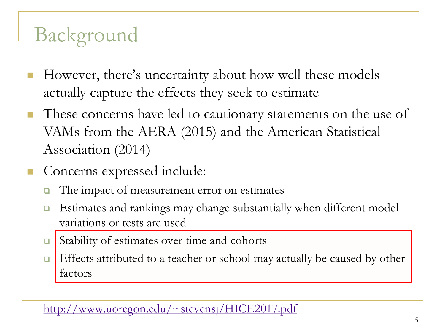## Background

- However, there's uncertainty about how well these models actually capture the effects they seek to estimate
- **These concerns have led to cautionary statements on the use of** VAMs from the AERA (2015) and the American Statistical Association (2014)
- Concerns expressed include:
	- $\Box$  The impact of measurement error on estimates
	- □ Estimates and rankings may change substantially when different model variations or tests are used
	- □ Stability of estimates over time and cohorts
	- $\Box$  Effects attributed to a teacher or school may actually be caused by other factors

<http://www.uoregon.edu/~stevensj/HICE2017.pdf>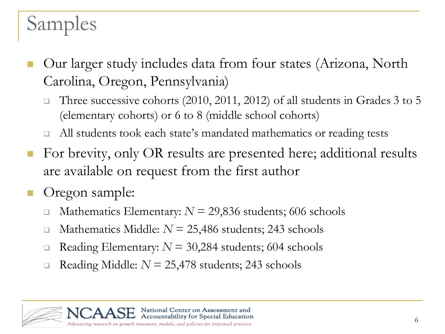### Samples

- Our larger study includes data from four states (Arizona, North Carolina, Oregon, Pennsylvania)
	- Three successive cohorts (2010, 2011, 2012) of all students in Grades 3 to 5 (elementary cohorts) or 6 to 8 (middle school cohorts)
	- □ All students took each state's mandated mathematics or reading tests
- For brevity, only OR results are presented here; additional results are available on request from the first author
- Oregon sample:
	- **Mathematics Elementary:**  $N = 29,836$  students; 606 schools
	- **Mathematics Middle:**  $N = 25,486$  students; 243 schools
	- Reading Elementary:  $N = 30,284$  students; 604 schools
	- Reading Middle: *N* = 25,478 students; 243 schools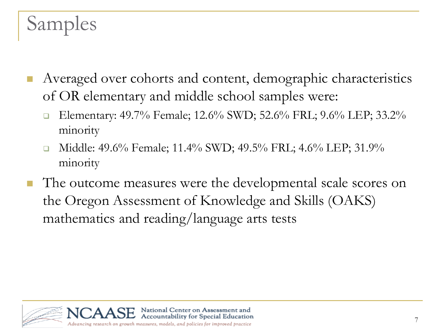### Samples

- Averaged over cohorts and content, demographic characteristics of OR elementary and middle school samples were:
	- Elementary: 49.7% Female; 12.6% SWD; 52.6% FRL; 9.6% LEP; 33.2% minority
	- Middle: 49.6% Female; 11.4% SWD; 49.5% FRL; 4.6% LEP; 31.9% minority
- The outcome measures were the developmental scale scores on the Oregon Assessment of Knowledge and Skills (OAKS) mathematics and reading/language arts tests

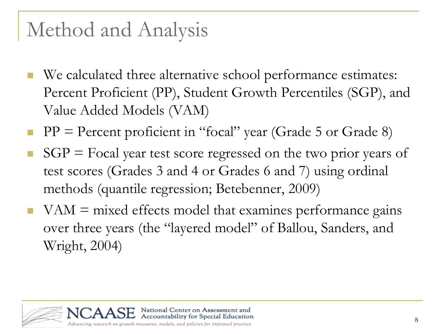### Method and Analysis

- We calculated three alternative school performance estimates: Percent Proficient (PP), Student Growth Percentiles (SGP), and Value Added Models (VAM)
- $\blacksquare$  PP = Percent proficient in "focal" year (Grade 5 or Grade 8)
- $SGP = Focal year$  test score regressed on the two prior years of test scores (Grades 3 and 4 or Grades 6 and 7) using ordinal methods (quantile regression; Betebenner, 2009)
- $VAM =$  mixed effects model that examines performance gains over three years (the "layered model" of Ballou, Sanders, and Wright, 2004)

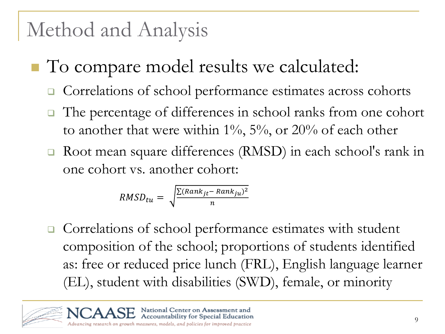### Method and Analysis

- To compare model results we calculated:
	- Correlations of school performance estimates across cohorts
	- The percentage of differences in school ranks from one cohort to another that were within  $1\%$ ,  $5\%$ , or  $20\%$  of each other
	- Root mean square differences (RMSD) in each school's rank in one cohort vs. another cohort:

$$
RMSD_{tu} = \sqrt{\frac{\sum (Rank_{jt} - Rank_{ju})^2}{n}}
$$

**□** Correlations of school performance estimates with student composition of the school; proportions of students identified as: free or reduced price lunch (FRL), English language learner (EL), student with disabilities (SWD), female, or minority

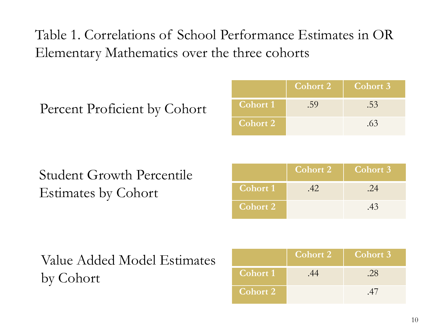#### Table 1. Correlations of School Performance Estimates in OR Elementary Mathematics over the three cohorts

|                 | <b>Cohort 2</b> | <b>Cohort 3</b> |
|-----------------|-----------------|-----------------|
| <b>Cohort 1</b> | .59             | .53             |
| <b>Cohort 2</b> |                 | .63             |

#### Student Growth Percentile Estimates by Cohort

|                 | <b>Cohort 2</b> | Cohort 3 |
|-----------------|-----------------|----------|
| <b>Cohort 1</b> | 42              | 24       |
| <b>Cohort 2</b> |                 | .43      |

#### Value Added Model Estimates by Cohort

|                 | $\overline{\text{Cohort 2}}$ | Cohort 3 |
|-----------------|------------------------------|----------|
| <b>Cohort 1</b> |                              | .28      |
| Cohort 2        |                              |          |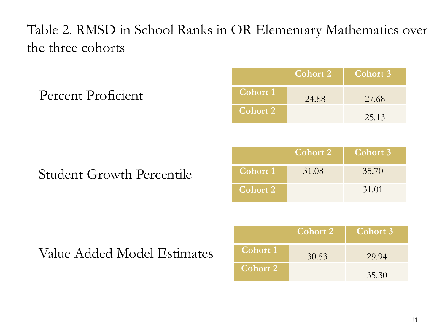#### Table 2. RMSD in School Ranks in OR Elementary Mathematics over the three cohorts

Percent Proficient

|                 | Cohort 2 | Cohort 3 |
|-----------------|----------|----------|
| <b>Cohort 1</b> | 24.88    | 27.68    |
| <b>Cohort 2</b> |          | 25.13    |

#### Student Growth Percentile

|                 | Cohort 2 | <b>Cohort 3</b> |
|-----------------|----------|-----------------|
| <b>Cohort 1</b> | 31.08    | 35.70           |
| <b>Cohort 2</b> |          | 31.01           |

Value Added Model Estimates

|                 | <b>Cohort 2</b> | Cohort 3 |
|-----------------|-----------------|----------|
| Cohort 1        | 30.53           | 29.94    |
| <b>Cohort 2</b> |                 | 35.30    |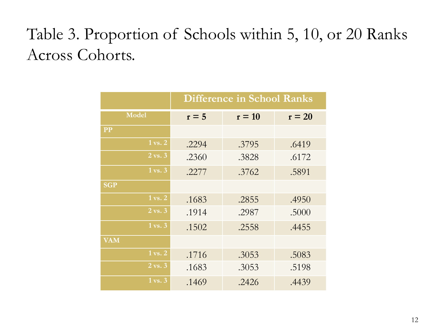### Table 3. Proportion of Schools within 5, 10, or 20 Ranks Across Cohorts.

|                      | <b>Difference in School Ranks</b> |          |          |  |
|----------------------|-----------------------------------|----------|----------|--|
| <b>Model</b>         | $r = 5$                           | $r = 10$ | $r = 20$ |  |
| <b>PP</b>            |                                   |          |          |  |
| 1 vs. 2              | .2294                             | .3795    | .6419    |  |
| $2 \text{ vs. } 3$   | .2360                             | .3828    | .6172    |  |
| $1 \text{ vs. } 3$   | .2277                             | .3762    | .5891    |  |
| <b>SGP</b>           |                                   |          |          |  |
| $1 \overline{vs. 2}$ | .1683                             | .2855    | .4950    |  |
| 2 vs. 3              | .1914                             | .2987    | .5000    |  |
| $1 \text{ vs. } 3$   | .1502                             | .2558    | .4455    |  |
| <b>VAM</b>           |                                   |          |          |  |
| 1 vs. 2              | .1716                             | .3053    | .5083    |  |
| 2 vs. 3              | .1683                             | .3053    | .5198    |  |
| $1 \text{ vs. } 3$   | .1469                             | .2426    |          |  |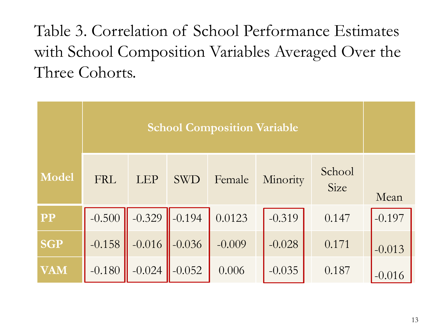Table 3. Correlation of School Performance Estimates with School Composition Variables Averaged Over the Three Cohorts.

|            | <b>School Composition Variable</b> |            |            |          |          |                |          |
|------------|------------------------------------|------------|------------|----------|----------|----------------|----------|
| Model      | <b>FRL</b>                         | <b>LEP</b> | <b>SWD</b> | Female   | Minority | School<br>Size | Mean     |
| <b>PP</b>  | $-0.500$                           | $-0.329$   | $-0.194$   | 0.0123   | $-0.319$ | 0.147          | $-0.197$ |
| <b>SGP</b> | $-0.158$                           | $-0.016$   | $-0.036$   | $-0.009$ | $-0.028$ | 0.171          | $-0.013$ |
| VAM        | $-0.180$                           | $-0.024$   | $-0.052$   | 0.006    | $-0.035$ | 0.187          | $-0.016$ |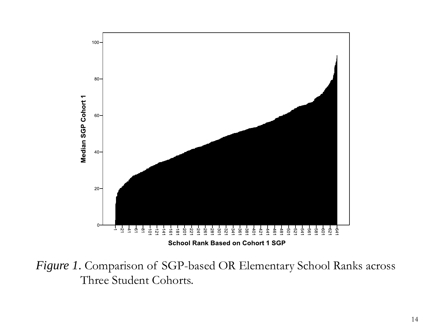

*Figure 1*. Comparison of SGP-based OR Elementary School Ranks across Three Student Cohorts.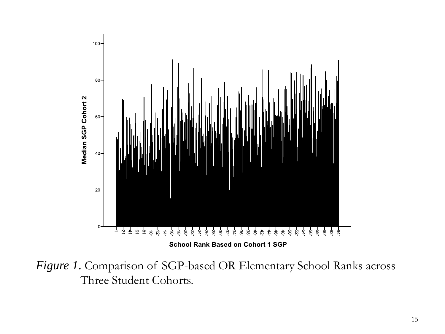

*Figure 1*. Comparison of SGP-based OR Elementary School Ranks across Three Student Cohorts.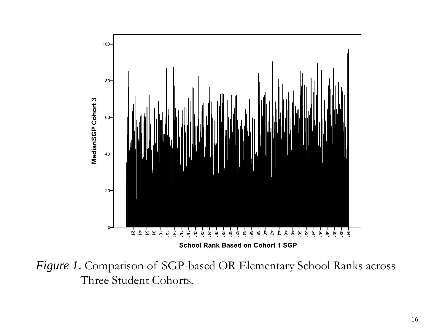

*Figure 1*. Comparison of SGP-based OR Elementary School Ranks across Three Student Cohorts.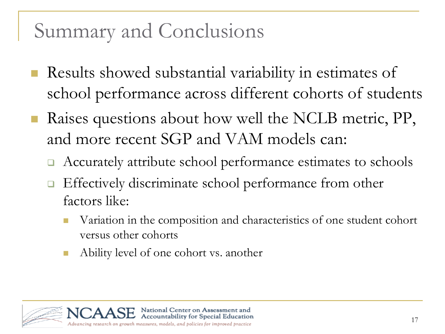### Summary and Conclusions

- Results showed substantial variability in estimates of school performance across different cohorts of students
- Raises questions about how well the NCLB metric, PP, and more recent SGP and VAM models can:
	- Accurately attribute school performance estimates to schools
	- Effectively discriminate school performance from other factors like:
		- Variation in the composition and characteristics of one student cohort versus other cohorts
		- Ability level of one cohort vs. another

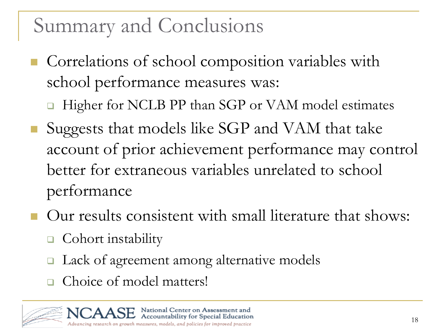### Summary and Conclusions

- **Correlations of school composition variables with** school performance measures was:
	- □ Higher for NCLB PP than SGP or VAM model estimates
- Suggests that models like SGP and VAM that take account of prior achievement performance may control better for extraneous variables unrelated to school performance
- Our results consistent with small literature that shows:
	- **□** Cohort instability
	- Lack of agreement among alternative models
	- Choice of model matters!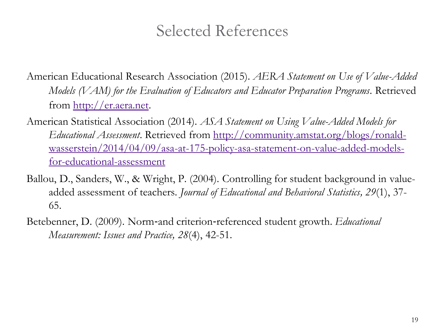#### Selected References

- American Educational Research Association (2015). *AERA Statement on Use of Value-Added Models (VAM) for the Evaluation of Educators and Educator Preparation Programs*. Retrieved from [http://er.aera.net.](http://er.aera.net/)
- American Statistical Association (2014). *ASA Statement on Using Value-Added Models for Educational Assessment*. Retrieved from http://community.amstat.org/blogs/ronald[wasserstein/2014/04/09/asa-at-175-policy-asa-statement-on-value-added-models](http://community.amstat.org/blogs/ronald-wasserstein/2014/04/09/asa-at-175-policy-asa-statement-on-value-added-models-for-educational-assessment)for-educational-assessment
- Ballou, D., Sanders, W., & Wright, P. (2004). Controlling for student background in valueadded assessment of teachers. *Journal of Educational and Behavioral Statistics, 29*(1), 37- 65.
- Betebenner, D. (2009). Norm‐and criterion‐referenced student growth. *Educational Measurement: Issues and Practice, 28*(4), 42-51.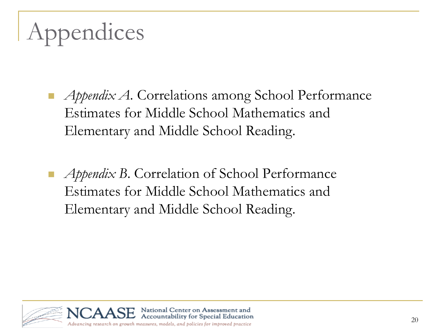# Appendices

- *Appendix A*. Correlations among School Performance Estimates for Middle School Mathematics and Elementary and Middle School Reading.
- *Appendix B*. Correlation of School Performance Estimates for Middle School Mathematics and Elementary and Middle School Reading.

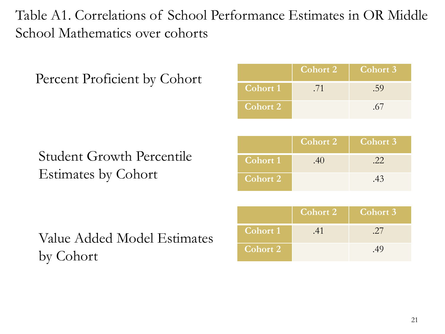Table A1. Correlations of School Performance Estimates in OR Middle School Mathematics over cohorts

**Cohort 2 Cohort 3**

| Percent Proficient by Cohort     |                 | <b>CONOLL</b>   | CONOLU J        |
|----------------------------------|-----------------|-----------------|-----------------|
|                                  | <b>Cohort 1</b> | .71             | .59             |
|                                  | <b>Cohort 2</b> |                 | .67             |
|                                  |                 |                 |                 |
|                                  |                 | <b>Cohort 2</b> | <b>Cohort 3</b> |
| <b>Student Growth Percentile</b> | <b>Cohort 1</b> | .40             | .22             |
| Estimates by Cohort              | <b>Cohort 2</b> |                 | .43             |
|                                  |                 |                 |                 |
|                                  |                 | <b>Cohort 2</b> | <b>Cohort 3</b> |
| Value Added Model Estimates      | Cohort 1        | .41             | .27             |
| $\sim$ 1                         | <b>Cohort 2</b> |                 | .49             |

by Cohort

21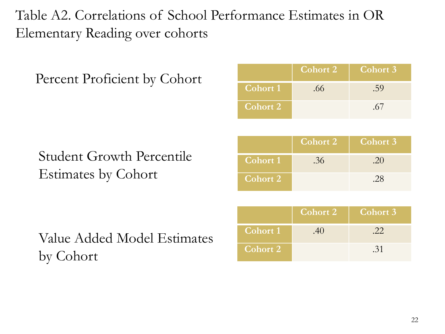Table A2. Correlations of School Performance Estimates in OR Elementary Reading over cohorts

| Percent Proficient by Cohort     |                 | <b>COLIOL</b>   | CONDIT D        |
|----------------------------------|-----------------|-----------------|-----------------|
|                                  | <b>Cohort 1</b> | .66             | .59             |
|                                  | <b>Cohort 2</b> |                 | .67             |
|                                  |                 |                 |                 |
|                                  |                 | <b>Cohort 2</b> | <b>Cohort 3</b> |
| <b>Student Growth Percentile</b> | <b>Cohort 1</b> | .36             | .20             |
| Estimates by Cohort              | <b>Cohort 2</b> |                 | .28             |
|                                  |                 |                 |                 |
|                                  |                 | <b>Cohort 2</b> | <b>Cohort 3</b> |
| Value Added Model Estimates      | Cohort 1        | .40             | .22             |
|                                  |                 |                 |                 |

by Cohort

**Cohort 2 Cohort 3**

**Cohort 2** .31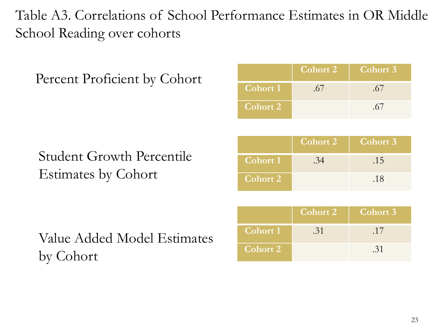#### Table A3. Correlations of School Performance Estimates in OR Middle School Reading over cohorts

| Percent Proficient by Cohort     |                 | <b>SULLUITE</b> | <b>COLIDIT</b>  |
|----------------------------------|-----------------|-----------------|-----------------|
|                                  | <b>Cohort 1</b> | .67             | .67             |
|                                  | <b>Cohort 2</b> |                 | .67             |
|                                  |                 |                 |                 |
|                                  |                 | <b>Cohort 2</b> | <b>Cohort 3</b> |
| <b>Student Growth Percentile</b> | <b>Cohort 1</b> | .34             | .15             |
| Estimates by Cohort              | <b>Cohort 2</b> |                 | .18             |
|                                  |                 |                 |                 |
|                                  |                 | <b>Cohort 2</b> | <b>Cohort 3</b> |
| Value Added Model Estimates      | <b>Cohort 1</b> | .31             | .17             |

Value Added Model Estimates by Cohort

|                 | Cohort 2 | Cohort 3 |
|-----------------|----------|----------|
| Cohort 1        | .31      | .17      |
| <b>Cohort 2</b> |          | .31      |

**Cohort 2 Cohort 3**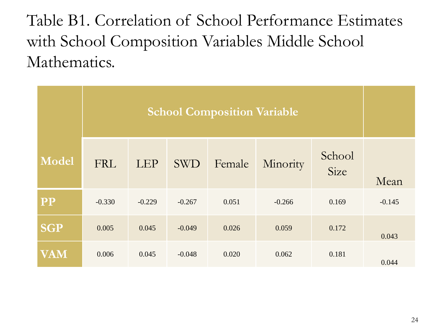Table B1. Correlation of School Performance Estimates with School Composition Variables Middle School Mathematics.

| <b>Model</b> | <b>FRL</b> | <b>LEP</b> | <b>SWD</b> | Female | Minority | School<br>Size | Mean     |
|--------------|------------|------------|------------|--------|----------|----------------|----------|
| <b>PP</b>    | $-0.330$   | $-0.229$   | $-0.267$   | 0.051  | $-0.266$ | 0.169          | $-0.145$ |
| <b>SGP</b>   | 0.005      | 0.045      | $-0.049$   | 0.026  | 0.059    | 0.172          | 0.043    |
| VAM          | 0.006      | 0.045      | $-0.048$   | 0.020  | 0.062    | 0.181          | 0.044    |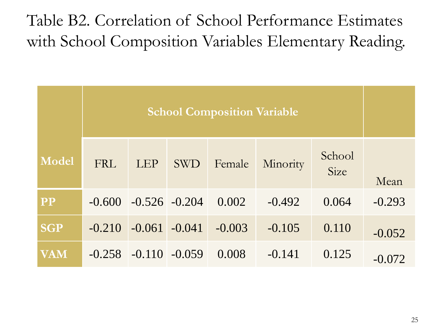### Table B2. Correlation of School Performance Estimates with School Composition Variables Elementary Reading.

|            | <b>School Composition Variable</b> |            |                  |          |          |                |          |
|------------|------------------------------------|------------|------------------|----------|----------|----------------|----------|
| Model      | <b>FRL</b>                         | <b>LEP</b> | <b>SWD</b>       | Female   | Minority | School<br>Size | Mean     |
| <b>PP</b>  | $-0.600$                           |            | $-0.526 - 0.204$ | 0.002    | $-0.492$ | 0.064          | $-0.293$ |
| <b>SGP</b> | $-0.210$                           | $-0.061$   | $-0.041$         | $-0.003$ | $-0.105$ | 0.110          | $-0.052$ |
| VAM        | $-0.258$                           |            | $-0.110 - 0.059$ | 0.008    | $-0.141$ | 0.125          | $-0.072$ |